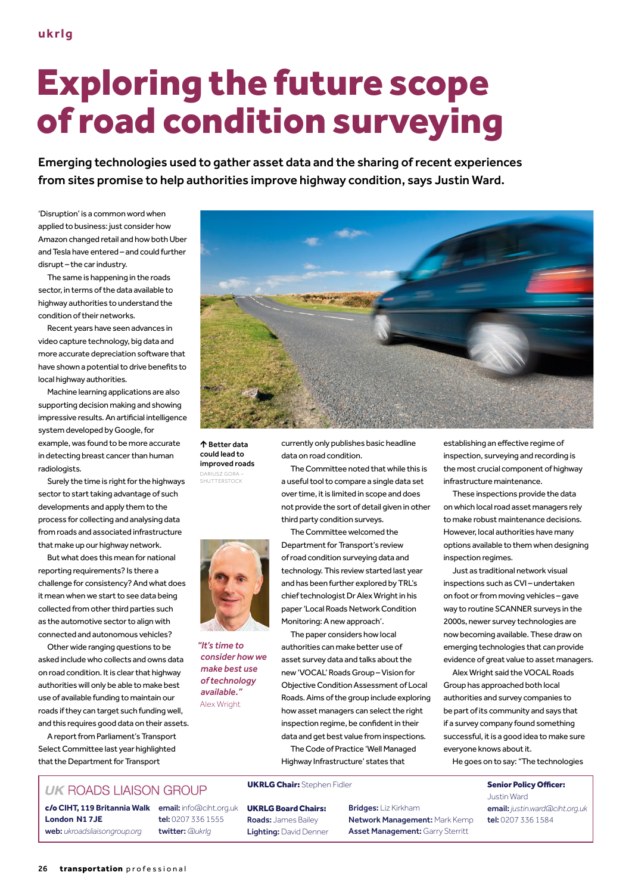## Exploring the future scope of road condition surveying

Emerging technologies used to gather asset data and the sharing of recent experiences from sites promise to help authorities improve highway condition, says Justin Ward.

'Disruption' is a common word when applied to business: just consider how Amazon changed retail and how both Uber and Tesla have entered – and could further disrupt – the car industry.

The same is happening in the roads sector, in terms of the data available to highway authorities to understand the condition of their networks.

Recent years have seen advances in video capture technology, big data and more accurate depreciation software that have shown a potential to drive benefits to local highway authorities.

Machine learning applications are also supporting decision making and showing impressive results. An artificial intelligence system developed by Google, for example, was found to be more accurate in detecting breast cancer than human radiologists.

Surely the time is right for the highways sector to start taking advantage of such developments and apply them to the process for collecting and analysing data from roads and associated infrastructure that make up our highway network.

But what does this mean for national reporting requirements? Is there a challenge for consistency? And what does it mean when we start to see data being collected from other third parties such as the automotive sector to align with connected and autonomous vehicles?

Other wide ranging questions to be asked include who collects and owns data on road condition. It is clear that highway authorities will only be able to make best use of available funding to maintain our roads if they can target such funding well, and this requires good data on their assets.

A report from Parliament's Transport Select Committee last year highlighted that the Department for Transport



个 Better data could lead to improved roads

DARIUSZ GORA – SHUTTERSTOCK



*"It's time to consider how we make best use of technology available."*  Alex Wright

currently only publishes basic headline data on road condition.

The Committee noted that while this is a useful tool to compare a single data set over time, it is limited in scope and does not provide the sort of detail given in other third party condition surveys.

The Committee welcomed the Department for Transport's review of road condition surveying data and technology. This review started last year and has been further explored by TRL's chief technologist Dr Alex Wright in his paper 'Local Roads Network Condition Monitoring: A new approach'.

The paper considers how local authorities can make better use of asset survey data and talks about the new 'VOCAL' Roads Group – Vision for Objective Condition Assessment of Local Roads. Aims of the group include exploring how asset managers can select the right inspection regime, be confident in their data and get best value from inspections. The Code of Practice 'Well Managed

Highway Infrastructure' states that

## UKRLG Chair: Stephen Fidler Superintent Senior Policy Officer:

UKRLG Board Chairs: Roads: James Bailey Lighting: David Denner Bridges: Liz Kirkham Network Management: Mark Kemp Asset Management: Garry Sterritt

establishing an effective regime of inspection, surveying and recording is the most crucial component of highway infrastructure maintenance.

These inspections provide the data on which local road asset managers rely to make robust maintenance decisions. However, local authorities have many options available to them when designing inspection regimes.

Just as traditional network visual inspections such as CVI – undertaken on foot or from moving vehicles – gave way to routine SCANNER surveys in the 2000s, newer survey technologies are now becoming available. These draw on emerging technologies that can provide evidence of great value to asset managers.

Alex Wright said the VOCAL Roads Group has approached both local authorities and survey companies to be part of its community and says that if a survey company found something successful, it is a good idea to make sure everyone knows about it.

He goes on to say: "The technologies

Justin Ward email: *justin.ward@ciht.org.uk* tel: 0207 336 1584

## **UK ROADS LIAISON GROUP**

**London N1 7JE** web: *ukroadsliaisongroup.org*

c/o **CIHT, 119 Britannia Walk** email: info@ciht.org.uk tel: 0207 336 1555 twitter: *@ukrlg*